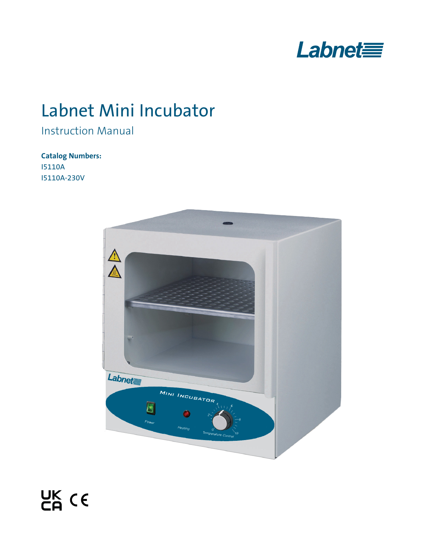

# Labnet Mini Incubator

# Instruction Manual

## **Catalog Numbers:**

I5110A I5110A-230V

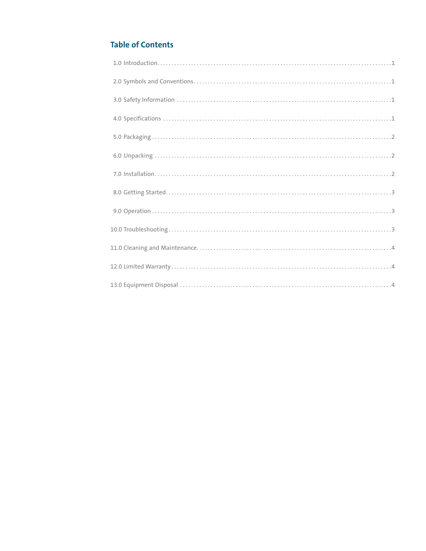### **Table of Contents**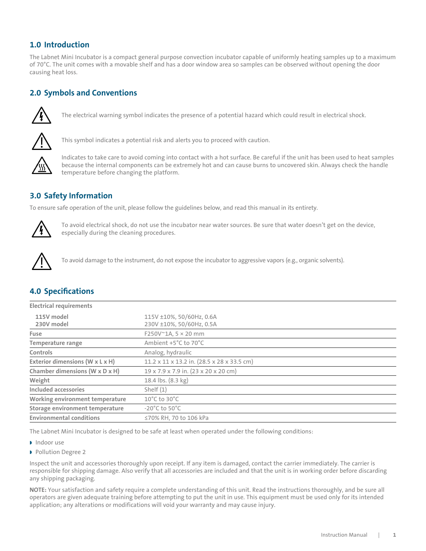#### <span id="page-2-0"></span>**1.0 Introduction**

The Labnet Mini Incubator is a compact general purpose convection incubator capable of uniformly heating samples up to a maximum of 70°C. The unit comes with a movable shelf and has a door window area so samples can be observed without opening the door causing heat loss.

#### **2.0 Symbols and Conventions**



The electrical warning symbol indicates the presence of a potential hazard which could result in electrical shock.



This symbol indicates a potential risk and alerts you to proceed with caution.



Indicates to take care to avoid coming into contact with a hot surface. Be careful if the unit has been used to heat samples because the internal components can be extremely hot and can cause burns to uncovered skin. Always check the handle temperature before changing the platform.

#### **3.0 Safety Information**

To ensure safe operation of the unit, please follow the guidelines below, and read this manual in its entirety.



To avoid electrical shock, do not use the incubator near water sources. Be sure that water doesn't get on the device, especially during the cleaning procedures.



To avoid damage to the instrument, do not expose the incubator to aggressive vapors (e.g., organic solvents).

| <b>4.0 Specifications</b> |  |  |  |
|---------------------------|--|--|--|
|                           |  |  |  |

| <b>Electrical requirements</b>  |                                                      |  |
|---------------------------------|------------------------------------------------------|--|
| 115V model<br>230V model        | 115V ±10%, 50/60Hz, 0.6A<br>230V ±10%, 50/60Hz, 0.5A |  |
| Fuse                            | $F250V^{\sim}1A, 5 \times 20$ mm                     |  |
| <b>Temperature range</b>        | Ambient +5°C to 70°C                                 |  |
| Controls                        | Analog, hydraulic                                    |  |
| Exterior dimensions (W x L x H) | 11.2 x 11 x 13.2 in. (28.5 x 28 x 33.5 cm)           |  |
| Chamber dimensions (W x D x H)  | 19 x 7.9 x 7.9 in. (23 x 20 x 20 cm)                 |  |
| Weight                          | 18.4 lbs. (8.3 kg)                                   |  |
| Included accessories            | Shelf $(1)$                                          |  |
| Working environment temperature | $10^{\circ}$ C to 30 $^{\circ}$ C                    |  |
| Storage environment temperature | $-20^{\circ}$ C to 50 $^{\circ}$ C                   |  |
| <b>Environmental conditions</b> | ≤70% RH, 70 to 106 kPa                               |  |

The Labnet Mini Incubator is designed to be safe at least when operated under the following conditions:

- Indoor use
- **Pollution Degree 2**

Inspect the unit and accessories thoroughly upon receipt. If any item is damaged, contact the carrier immediately. The carrier is responsible for shipping damage. Also verify that all accessories are included and that the unit is in working order before discarding any shipping packaging.

**NOTE:** Your satisfaction and safety require a complete understanding of this unit. Read the instructions thoroughly, and be sure all operators are given adequate training before attempting to put the unit in use. This equipment must be used only for its intended application; any alterations or modifications will void your warranty and may cause injury.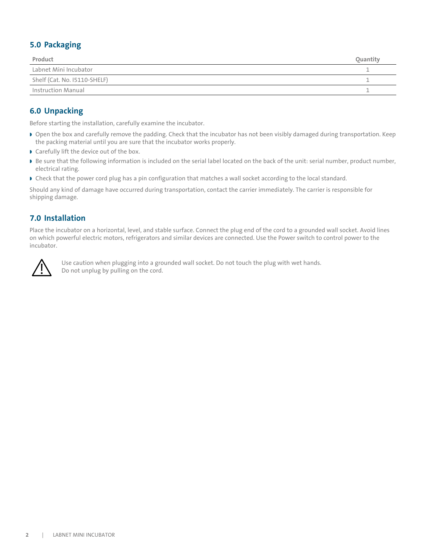#### <span id="page-3-0"></span>**5.0 Packaging**

| Product                      | <b>Ouantit</b> |
|------------------------------|----------------|
| Labnet Mini Incubator        |                |
| Shelf (Cat. No. 15110-SHELF) |                |
| Instruction Manual           |                |

#### **6.0 Unpacking**

Before starting the installation, carefully examine the incubator.

- Open the box and carefully remove the padding. Check that the incubator has not been visibly damaged during transportation. Keep the packing material until you are sure that the incubator works properly.
- Carefully lift the device out of the box.
- Be sure that the following information is included on the serial label located on the back of the unit: serial number, product number, electrical rating.
- Check that the power cord plug has a pin configuration that matches a wall socket according to the local standard.

Should any kind of damage have occurred during transportation, contact the carrier immediately. The carrier is responsible for shipping damage.

#### **7.0 Installation**

Place the incubator on a horizontal, level, and stable surface. Connect the plug end of the cord to a grounded wall socket. Avoid lines on which powerful electric motors, refrigerators and similar devices are connected. Use the Power switch to control power to the incubator.



Use caution when plugging into a grounded wall socket. Do not touch the plug with wet hands. Do not unplug by pulling on the cord.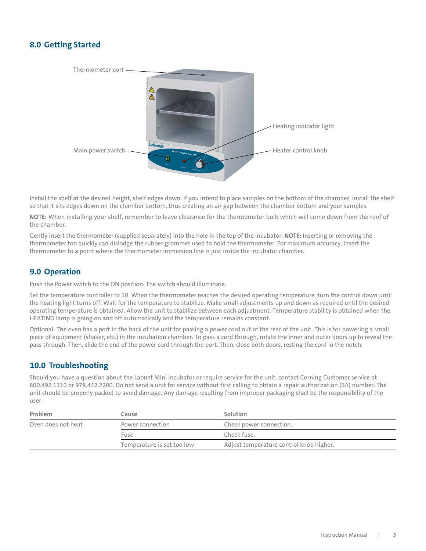#### <span id="page-4-0"></span>**8.0 Getting Started**



Install the shelf at the desired height, shelf edges down. If you intend to place samples on the bottom of the chamber, install the shelf so that it sits edges down on the chamber bottom, thus creating an air gap between the chamber bottom and your samples.

**NOTE:** When installing your shelf, remember to leave clearance for the thermometer bulb which will come down from the roof of the chamber.

Gently insert the thermometer (supplied separately) into the hole in the top of the incubator. **NOTE:** Inserting or removing the thermometer too quickly can dislodge the rubber grommet used to hold the thermometer. For maximum accuracy, insert the thermometer to a point where the thermometer immersion line is just inside the incubator chamber.

#### **9.0 Operation**

Push the Power switch to the ON position. The switch should illuminate.

Set the temperature controller to 10. When the thermometer reaches the desired operating temperature, turn the control down until the heating light turns off. Wait for the temperature to stabilize. Make small adjustments up and down as required until the desired operating temperature is obtained. Allow the unit to stabilize between each adjustment. Temperature stability is obtained when the HEATING lamp is going on and off automatically and the temperature remains constant.

Optional: The oven has a port in the back of the unit for passing a power cord out of the rear of the unit. This is for powering a small piece of equipment (shaker, etc.) in the incubation chamber. To pass a cord through, rotate the inner and outer doors up to reveal the pass through. Then, slide the end of the power cord through the port. Then, close both doors, resting the cord in the notch.

#### **10.0 Troubleshooting**

Should you have a question about the Labnet Mini Incubator or require service for the unit, contact Corning Customer service at 800.492.1110 or 978.442.2200. Do not send a unit for service without first calling to obtain a repair authorization (RA) number. The unit should be properly packed to avoid damage. Any damage resulting from improper packaging shall be the responsibility of the user.

| Problem            | Cause                      | Solution                                |  |
|--------------------|----------------------------|-----------------------------------------|--|
| Oven does not heat | Power connection           | Check power connection.                 |  |
|                    | Fuse                       | Check fuse.                             |  |
|                    | Temperature is set too low | Adjust temperature control knob higher. |  |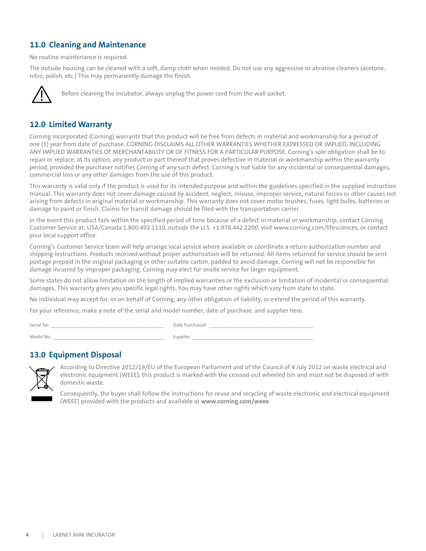#### <span id="page-5-0"></span>**11.0 Cleaning and Maintenance**

No routine maintenance is required.

The outside housing can be cleaned with a soft, damp cloth when needed. Do not use any aggressive or abrasive cleaners (acetone, nitro, polish, etc.) This may permanently damage the finish.



Before cleaning the incubator, always unplug the power cord from the wall socket.

#### **12.0 Limited Warranty**

Corning Incorporated (Corning) warrants that this product will be free from defects in material and workmanship for a period of one (1) year from date of purchase. CORNING DISCLAIMS ALL OTHER WARRANTIES WHETHER EXPRESSED OR IMPLIED, INCLUDING ANY IMPLIED WARRANTIES OF MERCHANTABILITY OR OF FITNESS FOR A PARTICULAR PURPOSE. Corning's sole obligation shall be to repair or replace, at its option, any product or part thereof that proves defective in material or workmanship within the warranty period, provided the purchaser notifies Corning of any such defect. Corning is not liable for any incidental or consequential damages, commercial loss or any other damages from the use of this product.

This warranty is valid only if the product is used for its intended purpose and within the guidelines specified in the supplied instruction manual. This warranty does not cover damage caused by accident, neglect, misuse, improper service, natural forces or other causes not arising from defects in original material or workmanship. This warranty does not cover motor brushes, fuses, light bulbs, batteries or damage to paint or finish. Claims for transit damage should be filed with the transportation carrier.

In the event this product fails within the specified period of time because of a defect in material or workmanship, contact Corning Customer Service at: USA/Canada 1.800.492.1110, outside the U.S. +1.978.442.2200, visit www.corning.com/lifesciences, or contact your local support office.

Corning's Customer Service team will help arrange local service where available or coordinate a return authorization number and shipping instructions. Products received without proper authorization will be returned. All items returned for service should be sent postage prepaid in the original packaging or other suitable carton, padded to avoid damage. Corning will not be responsible for damage incurred by improper packaging. Corning may elect for onsite service for larger equipment.

Some states do not allow limitation on the length of implied warranties or the exclusion or limitation of incidental or consequential damages. This warranty gives you specific legal rights. You may have other rights which vary from state to state.

No individual may accept for, or on behalf of Corning, any other obligation of liability, or extend the period of this warranty.

For your reference, make a note of the serial and model number, date of purchase, and supplier here.

Model No. \_\_\_\_\_\_\_\_\_\_\_\_\_\_\_\_\_\_\_\_\_\_\_\_\_\_\_\_\_\_\_\_\_\_\_\_\_\_\_\_\_ Supplier \_\_\_\_\_\_\_\_\_\_\_\_\_\_\_\_\_\_\_\_\_\_\_\_\_\_\_\_\_\_\_\_\_\_\_\_\_\_\_\_\_\_\_\_\_

Serial No. \_\_\_\_\_\_\_\_\_\_\_\_\_\_\_\_\_\_\_\_\_\_\_\_\_\_\_\_\_\_\_\_\_\_\_\_\_\_\_\_\_\_ Date Purchased \_\_\_\_\_\_\_\_\_\_\_\_\_\_\_\_\_\_\_\_\_\_\_\_\_\_\_\_\_\_\_\_\_\_\_\_\_\_\_

#### **13.0 Equipment Disposal**



According to Directive 2012/19/EU of the European Parliament and of the Council of 4 July 2012 on waste electrical and electronic equipment (WEEE), this product is marked with the crossed-out wheeled bin and must not be disposed of with domestic waste.

Consequently, the buyer shall follow the instructions for reuse and recycling of waste electronic and electrical equipment (WEEE) provided with the products and available at **www.corning.com/weee**.